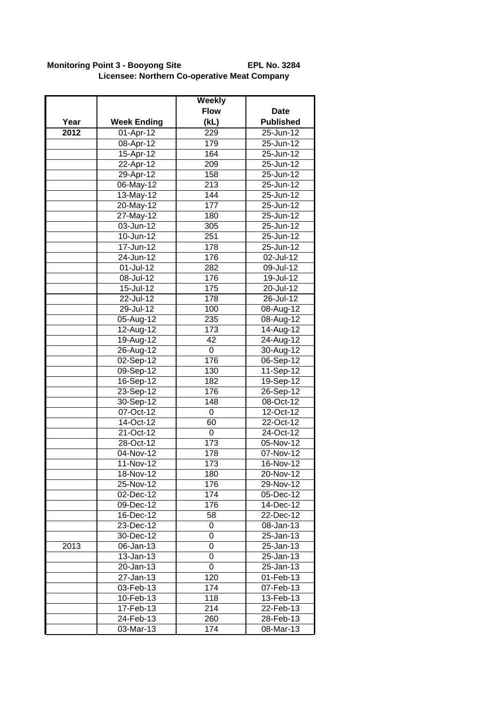## **Monitoring Point 3 - Booyong Site EPL No. 3284 Licensee: Northern Co-operative Meat Company**

|      |                    | <b>Weekly</b> |                  |
|------|--------------------|---------------|------------------|
|      |                    | <b>Flow</b>   | <b>Date</b>      |
| Year | <b>Week Ending</b> | (kL)          | <b>Published</b> |
| 2012 | 01-Apr-12          | 229           | $25 - Jun - 12$  |
|      | $08-Apr-12$        | 179           | $25 - Jun-12$    |
|      | 15-Apr-12          | 164           | 25-Jun-12        |
|      | 22-Apr-12          | 209           | 25-Jun-12        |
|      | 29-Apr-12          | 158           | 25-Jun-12        |
|      | $06$ -May-12       | 213           | 25-Jun-12        |
|      | 13-May-12          | 144           | 25-Jun-12        |
|      | 20-May-12          | 177           | 25-Jun-12        |
|      | $27$ -May-12       | 180           | 25-Jun-12        |
|      | 03-Jun-12          | 305           | 25-Jun-12        |
|      | 10-Jun-12          | 251           | 25-Jun-12        |
|      | 17-Jun-12          | 178           | 25-Jun-12        |
|      | 24-Jun-12          | 176           | 02-Jul-12        |
|      | 01-Jul-12          | 282           | 09-Jul-12        |
|      | 08-Jul-12          | 176           | 19-Jul-12        |
|      | 15-Jul-12          | 175           | 20-Jul-12        |
|      | 22-Jul-12          | 178           | 26-Jul-12        |
|      | 29-Jul-12          | 100           | 08-Aug-12        |
|      | 05-Aug-12          | 235           | 08-Aug-12        |
|      | 12-Aug-12          | 173           | 14-Aug-12        |
|      | 19-Aug-12          | 42            | 24-Aug-12        |
|      | 26-Aug-12          | 0             | 30-Aug-12        |
|      | 02-Sep-12          | 176           | $06-Sep-12$      |
|      | 09-Sep-12          | 130           | 11-Sep-12        |
|      | $16-$ Sep-12       | 182           | $19-$ Sep-12     |
|      | 23-Sep-12          | 176           | 26-Sep-12        |
|      | 30-Sep-12          | 148           | 08-Oct-12        |
|      | 07-Oct-12          | $\mathbf 0$   | 12-Oct-12        |
|      | 14-Oct-12          | 60            | 22-Oct-12        |
|      | 21-Oct-12          | $\pmb{0}$     | 24-Oct-12        |
|      | 28-Oct-12          | 173           | 05-Nov-12        |
|      | 04-Nov-12          | 178           | 07-Nov-12        |
|      | 11-Nov-12          | 173           | 16-Nov-12        |
|      | 18-Nov-12          | 180           | 20-Nov-12        |
|      | 25-Nov-12          | 176           | 29-Nov-12        |
|      | 02-Dec-12          | 174           | 05-Dec-12        |
|      | 09-Dec-12          | 176           | 14-Dec-12        |
|      | 16-Dec-12          | 58            | 22-Dec-12        |
|      | 23-Dec-12          | 0             | 08-Jan-13        |
|      | 30-Dec-12          | 0             | 25-Jan-13        |
| 2013 | 06-Jan-13          | 0             | 25-Jan-13        |
|      | 13-Jan-13          | 0             | 25-Jan-13        |
|      | 20-Jan-13          | 0             | 25-Jan-13        |
|      | 27-Jan-13          | 120           | 01-Feb-13        |
|      | 03-Feb-13          | 174           | 07-Feb-13        |
|      | 10-Feb-13          | 118           | 13-Feb-13        |
|      | 17-Feb-13          | 214           | 22-Feb-13        |
|      | 24-Feb-13          | 260           | 28-Feb-13        |
|      | 03-Mar-13          | 174           | 08-Mar-13        |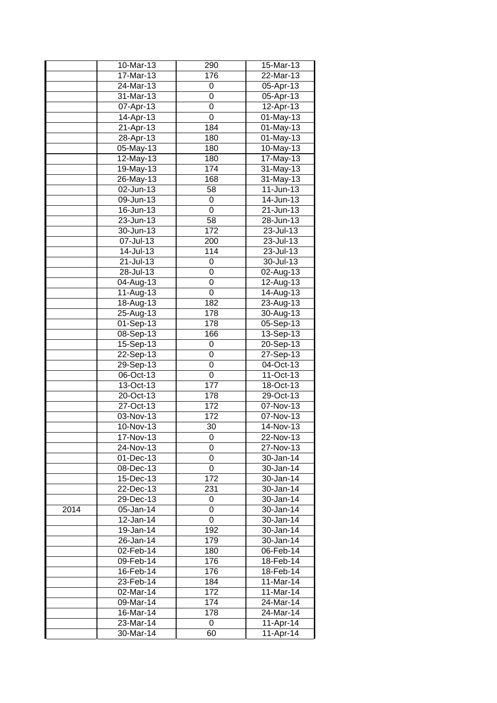|      | 10-Mar-13               | 290            | 15-Mar-13               |
|------|-------------------------|----------------|-------------------------|
|      | 17-Mar-13               | 176            | 22-Mar-13               |
|      | 24-Mar-13               | 0              | 05-Apr-13               |
|      | 31-Mar-13               | 0              | 05-Apr-13               |
|      | 07-Apr-13               | $\mathbf 0$    | 12-Apr-13               |
|      | 14-Apr-13               | 0              | $\overline{0}$ 1-May-13 |
|      | 21-Apr-13               | 184            | $\overline{0}$ 1-May-13 |
|      | 28-Apr-13               | 180            | $\overline{0}$ 1-May-13 |
|      | $\overline{0}$ 5-May-13 | 180            | $10$ -May-13            |
|      | 12-May-13               | 180            | $\overline{17}$ -May-13 |
|      | 19-May-13               | 174            | 31-May-13               |
|      | 26-May-13               | 168            | 31-May-13               |
|      | $\overline{02}$ -Jun-13 | 58             | 11-Jun-13               |
|      | 09-Jun-13               | 0              | 14-Jun-13               |
|      | 16-Jun-13               | $\overline{0}$ | 21-Jun-13               |
|      | 23-Jun-13               | 58             | 28-Jun-13               |
|      | 30-Jun-13               | 172            | 23-Jul-13               |
|      | 07-Jul-13               | 200            | 23-Jul-13               |
|      | 14-Jul-13               | 114            | 23-Jul-13               |
|      | 21-Jul-13               | 0              | 30-Jul-13               |
|      | 28-Jul-13               | $\mathbf 0$    | $02-Aug-13$             |
|      | 04-Aug-13               | 0              | 12-Aug-13               |
|      | 11-Aug-13               | $\mathbf 0$    | 14-Aug-13               |
|      | 18-Aug-13               | 182            | 23-Aug-13               |
|      | 25-Aug-13               | 178            | 30-Aug-13               |
|      | 01-Sep-13               | 178            | 05-Sep-13               |
|      | 08-Sep-13               | 166            | 13-Sep-13               |
|      | 15-Sep-13               | 0              | 20-Sep-13               |
|      | 22-Sep-13               | $\mathbf 0$    | $27 -$ Sep-13           |
|      | 29-Sep-13               | $\mathbf 0$    | 04-Oct-13               |
|      | 06-Oct-13               | 0              | 11-Oct-13               |
|      | 13-Oct-13               | 177            | 18-Oct-13               |
|      | 20-Oct-13               | 178            | $29$ -Oct-13            |
|      | 27-Oct-13               | 172            | $07-Nov-13$             |
|      | 03-Nov-13               | 172            | $\overline{07}$ -Nov-13 |
|      | 10-Nov-13               | 30             | 14-Nov-13               |
|      | 17-Nov-13               | 0              | 22-Nov-13               |
|      | 24-Nov-13               | 0              | 27-Nov-13               |
|      | 01-Dec-13               | 0              | 30-Jan-14               |
|      | 08-Dec-13               | 0              | 30-Jan-14               |
|      | 15-Dec-13               | 172            | 30-Jan-14               |
|      | 22-Dec-13               | 231            | 30-Jan-14               |
|      | $29$ -Dec-13            | 0              | 30-Jan-14               |
| 2014 | 05-Jan-14               | 0              | 30-Jan-14               |
|      | 12-Jan-14               | 0              | 30-Jan-14               |
|      | 19-Jan-14               | 192            | 30-Jan-14               |
|      | 26-Jan-14               | 179            | 30-Jan-14               |
|      | 02-Feb-14               | 180            | 06-Feb-14               |
|      | 09-Feb-14               | 176            | $18$ -Feb-14            |
|      | 16-Feb-14               | 176            | 18-Feb-14               |
|      | 23-Feb-14               | 184            | 11-Mar-14               |
|      | 02-Mar-14               | 172            | 11-Mar-14               |
|      | 09-Mar-14               | 174            | 24-Mar-14               |
|      | 16-Mar-14               | 178            | 24-Mar-14               |
|      | 23-Mar-14               | 0              | 11-Apr-14               |
|      | 30-Mar-14               | 60             | 11-Apr-14               |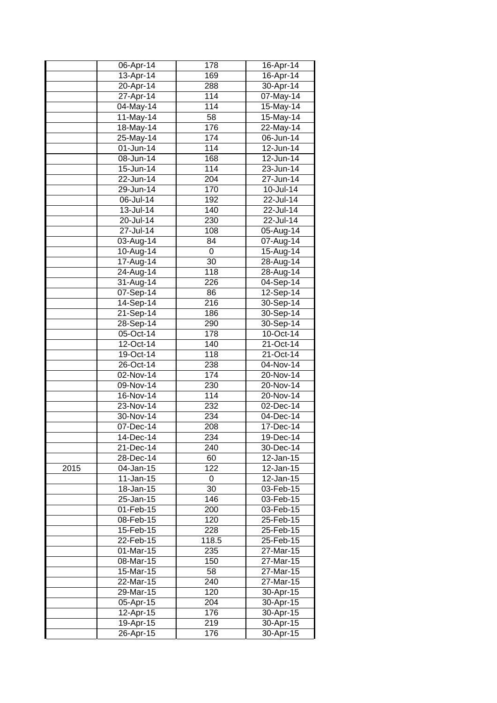|      | $06 - Apr-14$               | 178              | $16$ -Apr-14               |
|------|-----------------------------|------------------|----------------------------|
|      | $13-Apr-14$                 | 169              | 16-Apr-14                  |
|      | 20-Apr-14                   | 288              | 30-Apr-14                  |
|      | 27-Apr-14                   | 114              | 07-May-14                  |
|      | 04-May-14                   | 114              | $15-May-14$                |
|      | 11-May-14                   | 58               | 15-May-14                  |
|      | $\overline{18}$ -May-14     | 176              | $22$ -May-14               |
|      | $25$ -May-14                | 174              | 06-Jun-14                  |
|      | 01-Jun-14                   | 114              | 12-Jun-14                  |
|      | 08-Jun-14                   | 168              | 12-Jun-14                  |
|      | 15-Jun-14                   | 114              | 23-Jun-14                  |
|      | 22-Jun-14                   | 204              | 27-Jun-14                  |
|      | 29-Jun-14                   | 170              | 10-Jul-14                  |
|      | 06-Jul-14                   | 192              | $22$ -Jul- $\overline{14}$ |
|      | $13 -$ Jul- $\overline{14}$ | 140              | $22$ -Jul- $\overline{14}$ |
|      | 20-Jul-14                   | 230              | $22$ -Jul- $\overline{14}$ |
|      | 27-Jul-14                   | 108              | 05-Aug-14                  |
|      | 03-Aug-14                   | 84               | 07-Aug-14                  |
|      | $10-Aug-14$                 | $\mathbf 0$      | $15$ -Aug-14               |
|      | 17-Aug-14                   | 30               | 28-Aug-14                  |
|      | 24-Aug-14                   | $\overline{118}$ | $28-Aug-14$                |
|      | 31-Aug-14                   | 226              | $04-Sep-14$                |
|      | 07-Sep-14                   | 86               | 12-Sep-14                  |
|      | 14-Sep-14                   | 216              | 30-Sep-14                  |
|      | 21-Sep-14                   | 186              | $30-$ Sep-14               |
|      | 28-Sep-14                   | 290              | 30-Sep-14                  |
|      | 05-Oct-14                   | 178              | 10-Oct-14                  |
|      | 12-Oct-14                   | 140              | 21-Oct-14                  |
|      | 19-Oct-14                   | 118              | 21-Oct-14                  |
|      | 26-Oct-14                   | 238              | 04-Nov-14                  |
|      | 02-Nov-14                   | 174              | 20-Nov-14                  |
|      | 09-Nov-14                   | 230              | 20-Nov-14                  |
|      | 16-Nov-14                   | 114              | 20-Nov-14                  |
|      | 23-Nov-14                   | 232              | 02-Dec-14                  |
|      | $30$ -Nov-14                | 234              | 04-Dec-14                  |
|      | 07-Dec-14                   | 208              | 17-Dec-14                  |
|      | 14-Dec-14                   | 234              | 19-Dec-14                  |
|      | 21-Dec-14                   | 240              | 30-Dec-14                  |
|      | 28-Dec-14                   | 60               | 12-Jan-15                  |
| 2015 | 04-Jan-15                   | 122              | $\overline{1}$ 2-Jan-15    |
|      | 11-Jan-15                   | 0                | 12-Jan-15                  |
|      | 18-Jan-15                   | 30               | 03-Feb-15                  |
|      | 25-Jan-15                   | 146              | 03-Feb-15                  |
|      | 01-Feb-15                   | 200              | 03-Feb-15                  |
|      | 08-Feb-15                   | 120              | 25-Feb-15                  |
|      | 15-Feb-15                   | 228              | 25-Feb-15                  |
|      | 22-Feb-15                   | 118.5            | 25-Feb-15                  |
|      | 01-Mar-15                   | 235              | 27-Mar-15                  |
|      | 08-Mar-15                   | 150              | 27-Mar-15                  |
|      | $15$ -Mar-15                | 58               | $27-Mar-15$                |
|      | 22-Mar-15                   | 240              | 27-Mar-15                  |
|      | 29-Mar-15                   | 120              | 30-Apr-15                  |
|      | 05-Apr-15                   | 204              | $30 - Apr - 15$            |
|      | 12-Apr-15                   | 176              | $30 -$ Apr-15              |
|      | 19-Apr-15                   | 219              | 30-Apr-15                  |
|      | 26-Apr-15                   | 176              | 30-Apr-15                  |
|      |                             |                  |                            |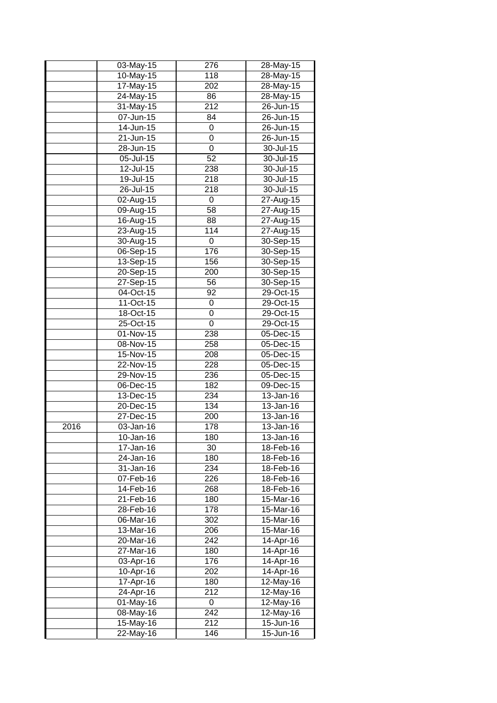|      | 03-May-15                  | 276         | 28-May-15     |
|------|----------------------------|-------------|---------------|
|      | 10-May-15                  | 118         | $28$ -May-15  |
|      | $17-May-15$                | 202         | 28-May-15     |
|      | 24-May-15                  | 86          | 28-May-15     |
|      | 31-May-15                  | 212         | 26-Jun-15     |
|      | 07-Jun-15                  | 84          | 26-Jun-15     |
|      | $14$ -Jun- $\overline{15}$ | 0           | 26-Jun-15     |
|      | 21-Jun-15                  | 0           | 26-Jun-15     |
|      | 28-Jun-15                  | 0           | 30-Jul-15     |
|      | 05-Jul-15                  | 52          | 30-Jul-15     |
|      | 12-Jul-15                  | 238         | 30-Jul-15     |
|      | 19-Jul-15                  | 218         | 30-Jul-15     |
|      | 26-Jul-15                  | 218         | 30-Jul-15     |
|      | 02-Aug-15                  | $\mathbf 0$ | 27-Aug-15     |
|      | $\overline{0}9$ -Aug-15    | 58          | $27 - Aug-15$ |
|      | 16-Aug-15                  | 88          | 27-Aug-15     |
|      | 23-Aug-15                  | 114         | 27-Aug-15     |
|      | $30 - Aug-15$              | 0           | 30-Sep-15     |
|      | 06-Sep-15                  | 176         | 30-Sep-15     |
|      | 13-Sep-15                  | 156         | 30-Sep-15     |
|      | 20-Sep-15                  | 200         | 30-Sep-15     |
|      | 27-Sep-15                  | 56          | 30-Sep-15     |
|      | 04-Oct-15                  | 92          | 29-Oct-15     |
|      | 11-Oct-15                  | 0           | 29-Oct-15     |
|      | 18-Oct-15                  | 0           | 29-Oct-15     |
|      | 25-Oct-15                  | $\mathbf 0$ | 29-Oct-15     |
|      | 01-Nov-15                  | 238         | 05-Dec-15     |
|      | 08-Nov-15                  | 258         | 05-Dec-15     |
|      | 15-Nov-15                  | 208         | 05-Dec-15     |
|      | 22-Nov-15                  | 228         | 05-Dec-15     |
|      | 29-Nov-15                  | 236         | 05-Dec-15     |
|      | 06-Dec-15                  | 182         | 09-Dec-15     |
|      | 13-Dec-15                  | 234         | 13-Jan-16     |
|      | 20-Dec-15                  | 134         | 13-Jan-16     |
|      | 27-Dec-15                  | 200         | 13-Jan-16     |
| 2016 | 03-Jan-16                  | 178         | 13-Jan-16     |
|      | $10 - Jan-16$              | 180         | 13-Jan-16     |
|      | 17-Jan-16                  | 30          | 18-Feb-16     |
|      | 24-Jan-16                  | 180         | 18-Feb-16     |
|      | 31-Jan-16                  | 234         | 18-Feb-16     |
|      | 07-Feb-16                  | 226         | 18-Feb-16     |
|      | 14-Feb-16                  | 268         | $18$ -Feb-16  |
|      | 21-Feb-16                  | 180         | 15-Mar-16     |
|      | 28-Feb-16                  | 178         | 15-Mar-16     |
|      | 06-Mar-16                  | 302         | 15-Mar-16     |
|      | 13-Mar-16                  | 206         | 15-Mar-16     |
|      | 20-Mar-16                  | 242         | $14$ -Apr-16  |
|      | 27-Mar-16                  | 180         | 14-Apr-16     |
|      | 03-Apr-16                  | 176         | 14-Apr-16     |
|      | 10-Apr-16                  | 202         | 14-Apr-16     |
|      | 17-Apr-16                  | 180         | 12-May-16     |
|      | 24-Apr-16                  | 212         | 12-May-16     |
|      | 01-May-16                  | 0           | 12-May-16     |
|      | 08-May-16                  | 242         | 12-May-16     |
|      | 15-May-16                  | 212         | 15-Jun-16     |
|      | 22-May-16                  | 146         | 15-Jun-16     |
|      |                            |             |               |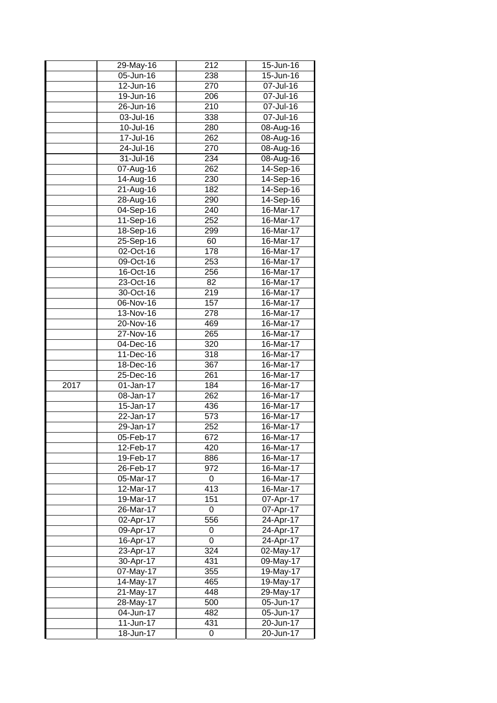|      | 29-May-16               | 212 | 15-Jun-16     |
|------|-------------------------|-----|---------------|
|      | 05-Jun-16               | 238 | 15-Jun-16     |
|      | 12-Jun-16               | 270 | 07-Jul-16     |
|      | 19-Jun-16               | 206 | 07-Jul-16     |
|      | 26-Jun-16               | 210 | 07-Jul-16     |
|      | 03-Jul-16               | 338 | 07-Jul-16     |
|      | 10-Jul-16               | 280 | 08-Aug-16     |
|      | 17-Jul-16               | 262 | 08-Aug-16     |
|      | 24-Jul-16               | 270 | $08 - Aug-16$ |
|      | 31-Jul-16               | 234 | 08-Aug-16     |
|      | 07-Aug-16               | 262 | 14-Sep-16     |
|      | 14-Aug-16               | 230 | 14-Sep-16     |
|      | 21-Aug-16               | 182 | $14-Sep-16$   |
|      | 28-Aug-16               | 290 | $14-$ Sep-16  |
|      | 04-Sep-16               | 240 | 16-Mar-17     |
|      | $11-Sep-16$             | 252 | $16$ -Mar-17  |
|      | 18-Sep-16               | 299 | $16$ -Mar-17  |
|      | 25-Sep-16               | 60  | 16-Mar-17     |
|      | 02-Oct-16               | 178 | 16-Mar-17     |
|      | 09-Oct-16               | 253 | 16-Mar-17     |
|      | 16-Oct-16               | 256 | 16-Mar-17     |
|      | 23-Oct-16               | 82  | 16-Mar-17     |
|      | 30-Oct-16               | 219 | 16-Mar-17     |
|      | 06-Nov-16               | 157 | 16-Mar-17     |
|      | 13-Nov-16               | 278 | 16-Mar-17     |
|      | 20-Nov-16               | 469 | 16-Mar-17     |
|      | 27-Nov-16               | 265 | 16-Mar-17     |
|      | 04-Dec-16               | 320 | 16-Mar-17     |
|      | 11-Dec-16               | 318 | 16-Mar-17     |
|      | 18-Dec-16               | 367 | $16$ -Mar-17  |
|      | 25-Dec-16               | 261 | 16-Mar-17     |
| 2017 | 01-Jan-17               | 184 | 16-Mar-17     |
|      | 08-Jan-17               | 262 | 16-Mar-17     |
|      | 15-Jan-17               | 436 | 16-Mar-17     |
|      | 22-Jan-17               | 573 | 16-Mar-17     |
|      | 29-Jan-17               | 252 | 16-Mar-17     |
|      | 05-Feb-17               | 672 | 16-Mar-17     |
|      | 12-Feb-17               | 420 | 16-Mar-17     |
|      | 19-Feb-17               | 886 | 16-Mar-17     |
|      | 26-Feb-17               | 972 | 16-Mar-17     |
|      | 05-Mar-17               | 0   | 16-Mar-17     |
|      | 12-Mar-17               | 413 | 16-Mar-17     |
|      | 19-Mar-17               | 151 | $07$ -Apr-17  |
|      | 26-Mar-17               | 0   | 07-Apr-17     |
|      | 02-Apr-17               | 556 | 24-Apr-17     |
|      | 09-Apr-17               | 0   | 24-Apr-17     |
|      | 16-Apr-17               | 0   | 24-Apr-17     |
|      | 23-Apr-17               | 324 | 02-May-17     |
|      | 30-Apr-17               | 431 | 09-May-17     |
|      | 07-May-17               | 355 | $19-May-17$   |
|      | 14-May-17               | 465 | 19-May-17     |
|      | $\overline{2}$ 1-May-17 | 448 | 29-May-17     |
|      | $28$ -May-17            | 500 | 05-Jun-17     |
|      | 04-Jun-17               | 482 | 05-Jun-17     |
|      | 11-Jun-17               | 431 | 20-Jun-17     |
|      | 18-Jun-17               | 0   | 20-Jun-17     |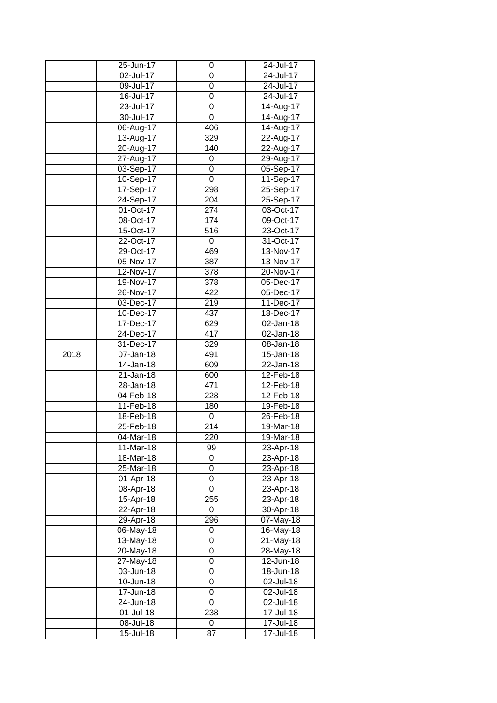|      | 25-Jun-17              | 0                | 24-Jul-17              |
|------|------------------------|------------------|------------------------|
|      | 02-Jul-17              | 0                | 24-Jul-17              |
|      | 09-Jul-17              | 0                | 24-Jul-17              |
|      | 16-Jul-17              | 0                | 24-Jul-17              |
|      | 23-Jul-17              | 0                | 14-Aug-17              |
|      | 30-Jul-17              | $\mathbf 0$      | 14-Aug-17              |
|      | 06-Aug-17              | 406              | 14-Aug-17              |
|      | 13-Aug-17              | 329              | 22-Aug-17              |
|      | 20-Aug-17              | 140              | $22$ -Aug-17           |
|      | 27-Aug-17              | $\mathbf 0$      | 29-Aug-17              |
|      | 03-Sep-17              | 0                | 05-Sep-17              |
|      | 10-Sep-17              | $\overline{0}$   | 11-Sep-17              |
|      | 17-Sep-17              | 298              | $25-$ Sep-17           |
|      | 24-Sep-17              | 204              | 25-Sep-17              |
|      | 01-Oct-17              | 274              | 03-Oct-17              |
|      | 08-Oct-17              | 174              | 09-Oct-17              |
|      | 15-Oct-17              | 516              | 23-Oct-17              |
|      | 22-Oct-17              | $\boldsymbol{0}$ | 31-Oct-17              |
|      | 29-Oct-17              | 469              | 13-Nov-17              |
|      | 05-Nov-17              | 387              | 13-Nov-17              |
|      | 12-Nov-17              | 378              | 20-Nov-17              |
|      | 19-Nov-17              | 378              | 05-Dec-17              |
|      | 26-Nov-17              | 422              | 05-Dec-17              |
|      | 03-Dec-17              | 219              | 11-Dec-17              |
|      | 10-Dec-17              | 437              | 18-Dec-17              |
|      | 17-Dec-17              | 629              | 02-Jan-18              |
|      | 24-Dec-17              | 417              | 02-Jan-18              |
|      | 31-Dec-17              | 329              | 08-Jan-18              |
|      |                        |                  |                        |
|      |                        |                  |                        |
| 2018 | 07-Jan-18              | 491<br>609       | 15-Jan-18<br>22-Jan-18 |
|      | 14-Jan-18              |                  |                        |
|      | 21-Jan-18<br>28-Jan-18 | 600<br>471       | 12-Feb-18<br>12-Feb-18 |
|      | 04-Feb-18              | 228              | 12-Feb-18              |
|      | 11-Feb-18              | 180              | 19-Feb-18              |
|      | 18-Feb-18              | 0                | 26-Feb-18              |
|      | 25-Feb-18              | 214              | 19-Mar-18              |
|      | 04-Mar-18              | 220              | 19-Mar-18              |
|      | 11-Mar-18              | 99               | 23-Apr-18              |
|      | 18-Mar-18              | 0                | 23-Apr-18              |
|      | 25-Mar-18              | 0                | 23-Apr-18              |
|      | 01-Apr-18              | $\mathbf 0$      | 23-Apr-18              |
|      | 08-Apr-18              | $\mathbf 0$      | 23-Apr-18              |
|      | 15-Apr-18              | 255              | 23-Apr-18              |
|      | 22-Apr-18              | 0                | 30-Apr-18              |
|      |                        | 296              | 07-May-18              |
|      | 29-Apr-18<br>06-May-18 | 0                | 16-May-18              |
|      | 13-May-18              | $\mathbf 0$      | 21-May-18              |
|      | 20-May-18              | 0                | 28-May-18              |
|      | 27-May-18              | 0                | 12-Jun-18              |
|      | 03-Jun-18              | 0                | 18-Jun-18              |
|      | 10-Jun-18              | 0                | 02-Jul-18              |
|      | 17-Jun-18              | 0                | 02-Jul-18              |
|      | 24-Jun-18              | $\mathbf 0$      | 02-Jul-18              |
|      | 01-Jul-18              | 238              | 17-Jul-18              |
|      | 08-Jul-18              | 0                | 17-Jul-18              |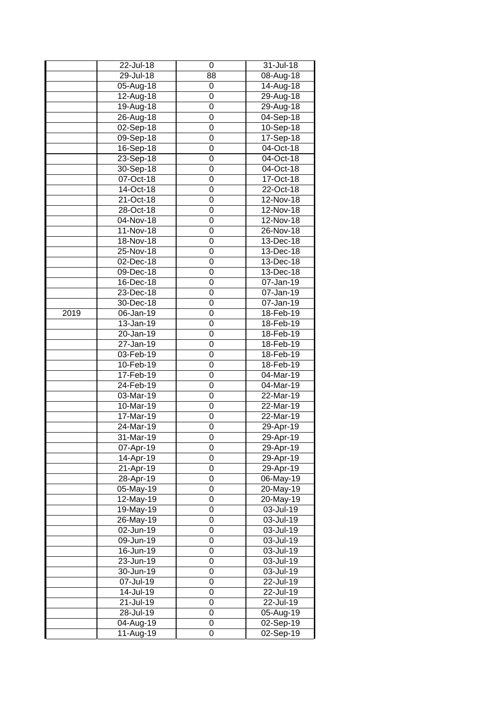|      | 22-Jul-18               | 0                | 31-Jul-18               |
|------|-------------------------|------------------|-------------------------|
|      | 29-Jul-18               | 88               | 08-Aug-18               |
|      | 05-Aug-18               | 0                | $\overline{1}$ 4-Aug-18 |
|      | 12-Aug-18               | 0                | 29-Aug-18               |
|      | 19-Aug-18               | $\mathbf 0$      | 29-Aug-18               |
|      | 26-Aug-18               | 0                | $\overline{0}$ 4-Sep-18 |
|      | 02-Sep-18               | $\mathbf 0$      | 10-Sep-18               |
|      | $\overline{0}9$ -Sep-18 | 0                | $17-Sep-18$             |
|      | 16-Sep-18               | $\mathbf 0$      | 04-Oct-18               |
|      | 23-Sep-18               | $\mathbf 0$      | 04-Oct-18               |
|      | 30-Sep-18               | $\mathbf 0$      | 04-Oct-18               |
|      | 07-Oct-18               | 0                | 17-Oct-18               |
|      | 14-Oct-18               | $\mathbf 0$      | 22-Oct-18               |
|      | 21-Oct-18               | 0                | 12-Nov-18               |
|      | 28-Oct-18               | $\mathbf 0$      | $\overline{12}$ -Nov-18 |
|      | 04-Nov-18               | 0                | 12-Nov-18               |
|      | 11-Nov-18               | $\boldsymbol{0}$ | 26-Nov-18               |
|      | 18-Nov-18               | 0                | 13-Dec-18               |
|      | 25-Nov-18               | 0                | 13-Dec-18               |
|      | 02-Dec-18               | 0                | 13-Dec-18               |
|      | 09-Dec-18               | $\mathbf 0$      | 13-Dec-18               |
|      | 16-Dec-18               | 0                | 07-Jan-19               |
|      | 23-Dec-18               | 0                | 07-Jan-19               |
|      | 30-Dec-18               | 0                | 07-Jan-19               |
| 2019 | 06-Jan-19               | $\mathbf 0$      | 18-Feb-19               |
|      | 13-Jan-19               | $\mathbf 0$      | 18-Feb-19               |
|      | 20-Jan-19               | $\mathbf 0$      | 18-Feb-19               |
|      | 27-Jan-19               | $\mathbf 0$      | 18-Feb-19               |
|      | 03-Feb-19               | 0                | 18-Feb-19               |
|      | 10-Feb-19               | 0                | 18-Feb-19               |
|      | 17-Feb-19               | 0                | 04-Mar-19               |
|      | 24-Feb-19               | 0                | 04-Mar-19               |
|      | 03-Mar-19               | 0                | 22-Mar-19               |
|      | 10-Mar-19               | 0                | 22-Mar-19               |
|      | 17-Mar-19               | 0                | 22-Mar-19               |
|      | 24-Mar-19               | 0                | 29-Apr-19               |
|      | 31-Mar-19               | 0                | 29-Apr-19               |
|      | 07-Apr-19               | 0                | 29-Apr-19               |
|      | 14-Apr-19               | 0                | 29-Apr-19               |
|      | 21-Apr-19               | 0                | 29-Apr-19               |
|      | 28-Apr-19               | 0                | 06-May-19               |
|      | 05-May-19               | $\mathbf 0$      | 20-May-19               |
|      | 12-May-19               | $\mathbf 0$      | 20-May-19               |
|      | 19-May-19               | $\mathbf 0$      | 03-Jul-19               |
|      | 26-May-19               | 0                | 03-Jul-19               |
|      | 02-Jun-19               | $\mathbf 0$      | 03-Jul-19               |
|      | 09-Jun-19               | 0                | 03-Jul-19               |
|      | 16-Jun-19               | 0                | 03-Jul-19               |
|      | 23-Jun-19               | 0                | 03-Jul-19               |
|      | 30-Jun-19               | 0                | 03-Jul-19               |
|      | 07-Jul-19               | 0                | 22-Jul-19               |
|      | 14-Jul-19               | 0                | 22-Jul-19               |
|      | 21-Jul-19               | 0                | 22-Jul-19               |
|      | 28-Jul-19               | 0                | 05-Aug-19               |
|      | 04-Aug-19               | 0                | 02-Sep-19               |
|      | 11-Aug-19               | 0                | $\overline{02}$ -Sep-19 |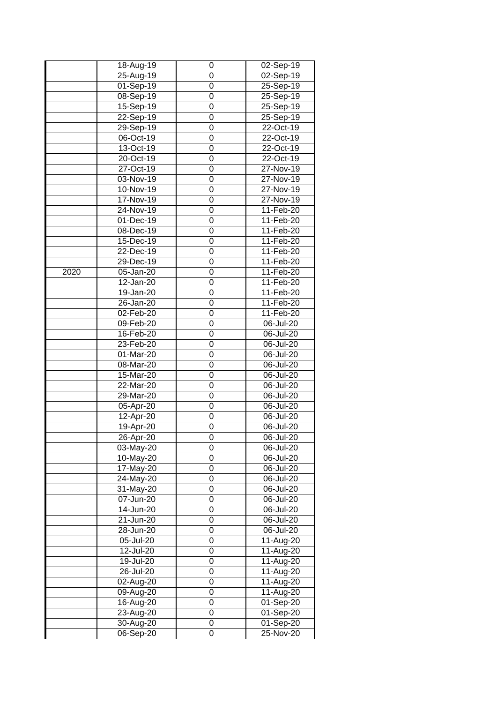|      | 18-Aug-19               | 0           | 02-Sep-19               |
|------|-------------------------|-------------|-------------------------|
|      | 25-Aug-19               | 0           | $\overline{0}$ 2-Sep-19 |
|      | 01-Sep-19               | 0           | 25-Sep-19               |
|      | 08-Sep-19               | $\mathbf 0$ | 25-Sep-19               |
|      | 15-Sep-19               | 0           | 25-Sep-19               |
|      | 22-Sep-19               | $\mathbf 0$ | 25-Sep-19               |
|      | 29-Sep-19               | 0           | 22-Oct-19               |
|      | 06-Oct-19               | $\mathbf 0$ | 22-Oct-19               |
|      | 13-Oct-19               | 0           | 22-Oct-19               |
|      | 20-Oct-19               | $\mathbf 0$ | 22-Oct-19               |
|      | 27-Oct-19               | 0           | 27-Nov-19               |
|      | 03-Nov-19               | $\mathbf 0$ | 27-Nov-19               |
|      | 10-Nov-19               | 0           | 27-Nov-19               |
|      | $17-Nov-19$             | $\mathbf 0$ | 27-Nov-19               |
|      | 24-Nov-19               | 0           | 11-Feb-20               |
|      | 01-Dec-19               | $\mathbf 0$ | 11-Feb-20               |
|      | 08-Dec-19               | 0           | 11-Feb-20               |
|      | 15-Dec-19               | $\mathbf 0$ | 11-Feb-20               |
|      | 22-Dec-19               | 0           | 11-Feb-20               |
|      | 29-Dec-19               | 0           | 11-Feb-20               |
| 2020 | 05-Jan-20               | $\mathbf 0$ | 11-Feb-20               |
|      | 12-Jan-20               | 0           | 11-Feb-20               |
|      | 19-Jan-20               | 0           | 11-Feb-20               |
|      | 26-Jan-20               | 0           | 11-Feb-20               |
|      | 02-Feb-20               | 0           | 11-Feb-20               |
|      | 09-Feb-20               | $\mathbf 0$ | 06-Jul-20               |
|      | 16-Feb-20               | $\mathbf 0$ | 06-Jul-20               |
|      | 23-Feb-20               | 0           | 06-Jul-20               |
|      | 01-Mar-20               | 0           | 06-Jul-20               |
|      | 08-Mar-20               | 0           | 06-Jul-20               |
|      | 15-Mar-20               | 0           | 06-Jul-20               |
|      | 22-Mar-20               | 0           | 06-Jul-20               |
|      | 29-Mar-20               | $\mathbf 0$ | 06-Jul-20               |
|      | 05-Apr-20               | 0           | 06-Jul-20               |
|      | $12-Apr-20$             | 0           | 06-Jul-20               |
|      | 19-Apr-20               | 0           | 06-Jul-20               |
|      | 26-Apr-20               | 0           | 06-Jul-20               |
|      | 03-May-20               | 0           | 06-Jul-20               |
|      | 10-May-20               | 0           | 06-Jul-20               |
|      | 17-May-20               | 0           | 06-Jul-20               |
|      | 24-May-20               | 0           | 06-Jul-20               |
|      | 31-May-20               | 0           | 06-Jul-20               |
|      | 07-Jun-20               | $\mathbf 0$ | 06-Jul-20               |
|      | 14-Jun-20               | 0           | 06-Jul-20               |
|      | 21-Jun-20               | 0           | 06-Jul-20               |
|      | 28-Jun-20               | 0           | 06-Jul-20               |
|      | 05-Jul-20               | $\mathbf 0$ | 11-Aug-20               |
|      | 12-Jul-20               | 0           | 11-Aug-20               |
|      | 19-Jul-20               | 0           | $\overline{1}$ 1-Aug-20 |
|      | $\overline{2}6$ -Jul-20 | 0           | $11-Aug-20$             |
|      | 02-Aug-20               | 0           | 11-Aug-20               |
|      | 09-Aug-20               | 0           | 11-Aug-20               |
|      | 16-Aug-20               | 0           | $\overline{0}$ 1-Sep-20 |
|      | 23-Aug-20               | 0           | 01-Sep-20               |
|      | 30-Aug-20               | 0           | 01-Sep-20               |
|      | 06-Sep-20               | 0           | 25-Nov-20               |
|      |                         |             |                         |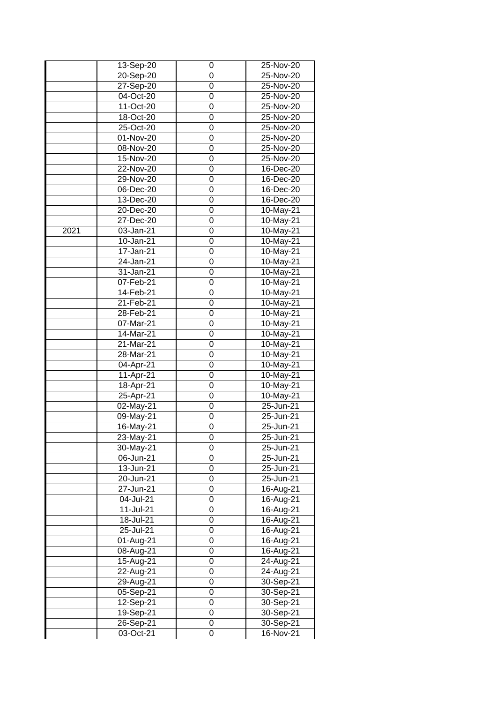|      | 13-Sep-20     | 0                | 25-Nov-20               |
|------|---------------|------------------|-------------------------|
|      | $20-Sep-20$   | 0                | $25-Nov-20$             |
|      | 27-Sep-20     | 0                | 25-Nov-20               |
|      | 04-Oct-20     | 0                | 25-Nov-20               |
|      | 11-Oct-20     | 0                | 25-Nov-20               |
|      | 18-Oct-20     | 0                | 25-Nov-20               |
|      | 25-Oct-20     | 0                | 25-Nov-20               |
|      | 01-Nov-20     | $\mathbf 0$      | 25-Nov-20               |
|      | 08-Nov-20     | 0                | 25-Nov-20               |
|      | 15-Nov-20     | $\mathbf 0$      | 25-Nov-20               |
|      | 22-Nov-20     | 0                | 16-Dec-20               |
|      | 29-Nov-20     | $\mathbf 0$      | 16-Dec-20               |
|      | 06-Dec-20     | 0                | 16-Dec-20               |
|      | 13-Dec-20     | $\mathbf 0$      | 16-Dec-20               |
|      | 20-Dec-20     | 0                | 10-May-21               |
|      | 27-Dec-20     | $\mathbf 0$      | $10-May-21$             |
| 2021 | 03-Jan-21     | 0                | 10-May-21               |
|      | $10 - Jan-21$ | $\boldsymbol{0}$ | 10-May-21               |
|      | 17-Jan-21     | 0                | $10-May-21$             |
|      | 24-Jan-21     | 0                | 10-May-21               |
|      | 31-Jan-21     | $\mathbf 0$      | $10-May-21$             |
|      | 07-Feb-21     | 0                | $10-May-21$             |
|      | 14-Feb-21     | 0                | 10-May-21               |
|      | 21-Feb-21     | 0                | 10-May-21               |
|      | 28-Feb-21     | 0                | 10-May-21               |
|      | 07-Mar-21     | $\mathbf 0$      | 10-May-21               |
|      | 14-Mar-21     | $\mathbf 0$      | 10-May-21               |
|      | 21-Mar-21     | 0                | 10-May-21               |
|      | 28-Mar-21     | 0                | 10-May-21               |
|      | 04-Apr-21     | 0                | $10-May-21$             |
|      | 11-Apr-21     | 0                | 10-May-21               |
|      | 18-Apr-21     | 0                | $10-May-21$             |
|      | 25-Apr-21     | 0                | $10-May-21$             |
|      | $02$ -May-21  | 0                | 25-Jun-21               |
|      | 09-May-21     | 0                | $25 - Jun-21$           |
|      | 16-May-21     | 0                | 25-Jun-21               |
|      | 23-May-21     |                  | 25-Jun-21               |
|      | 30-May-21     | 0<br>0           | 25-Jun-21               |
|      |               | 0                |                         |
|      | 06-Jun-21     |                  | 25-Jun-21               |
|      | 13-Jun-21     | 0<br>0           | 25-Jun-21               |
|      | 20-Jun-21     |                  | 25-Jun-21               |
|      | 27-Jun-21     | 0                | 16-Aug-21               |
|      | 04-Jul-21     | $\mathbf 0$      | 16-Aug-21               |
|      | 11-Jul-21     | 0                | 16-Aug-21               |
|      | 18-Jul-21     | 0                | 16-Aug-21               |
|      | 25-Jul-21     | 0                | 16-Aug-21               |
|      | 01-Aug-21     | $\mathbf 0$      | $\overline{1}6$ -Aug-21 |
|      | 08-Aug-21     | 0                | 16-Aug-21               |
|      | 15-Aug-21     | 0                | 24-Aug-21               |
|      | 22-Aug-21     | 0                | 24-Aug-21               |
|      | 29-Aug-21     | 0                | $30-$ Sep-21            |
|      | $05 - Sep-21$ | 0                | 30-Sep-21               |
|      | 12-Sep-21     | 0                | 30-Sep-21               |
|      | 19-Sep-21     | 0                | 30-Sep-21               |
|      | $26-$ Sep-21  | 0                | 30-Sep-21               |
|      | 03-Oct-21     | 0                | 16-Nov-21               |